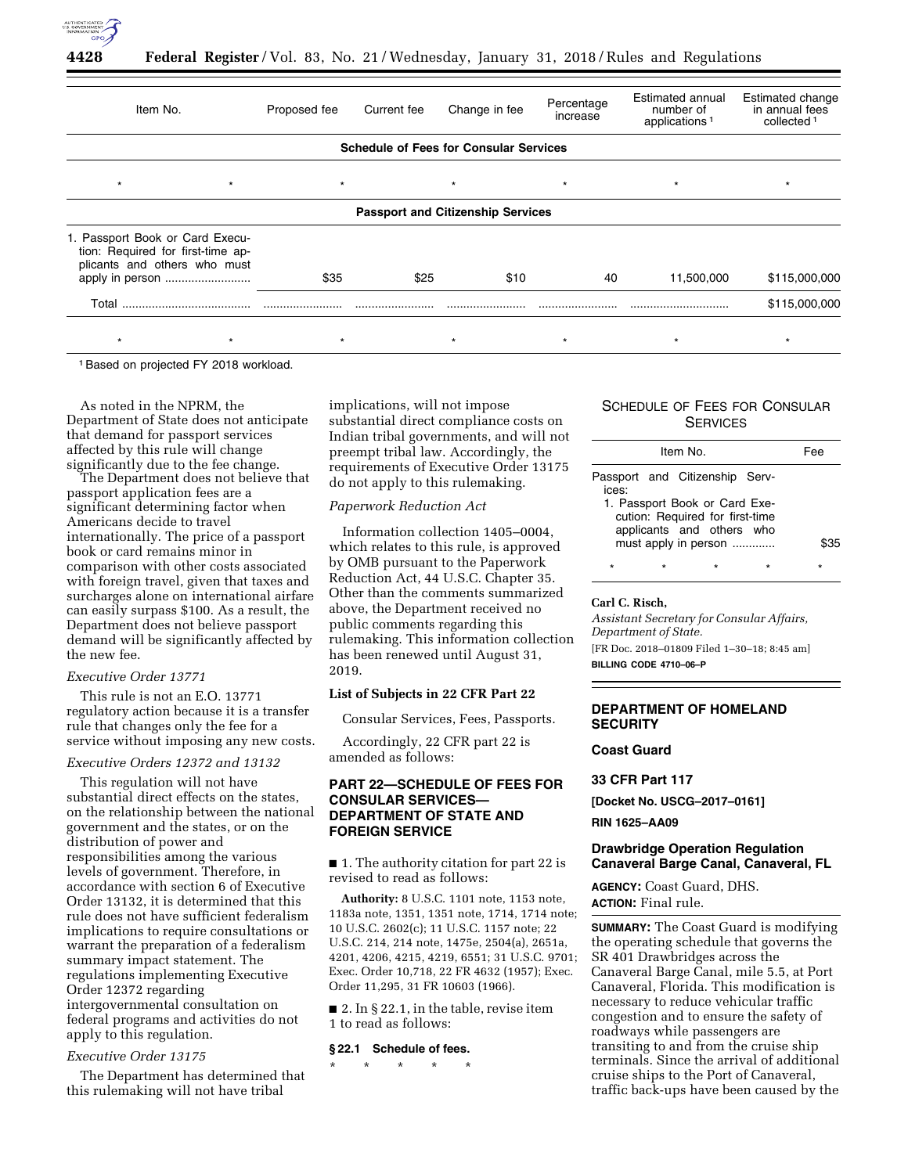

|                                               | Proposed fee                                                                                         | Current fee | Change in fee | Percentage<br>increase | Estimated annual<br>number of<br>applications <sup>1</sup> | Estimated change<br>in annual fees<br>collected <sup>1</sup> |  |  |  |  |
|-----------------------------------------------|------------------------------------------------------------------------------------------------------|-------------|---------------|------------------------|------------------------------------------------------------|--------------------------------------------------------------|--|--|--|--|
| <b>Schedule of Fees for Consular Services</b> |                                                                                                      |             |               |                        |                                                            |                                                              |  |  |  |  |
|                                               | $\star$                                                                                              |             | $\star$       | $\star$                | $\star$                                                    | $\star$                                                      |  |  |  |  |
|                                               |                                                                                                      |             |               |                        |                                                            |                                                              |  |  |  |  |
|                                               |                                                                                                      |             |               |                        |                                                            |                                                              |  |  |  |  |
|                                               | \$35                                                                                                 | \$25        | \$10          | 40                     | 11,500,000                                                 | \$115,000,000                                                |  |  |  |  |
|                                               |                                                                                                      |             |               |                        |                                                            | \$115,000,000                                                |  |  |  |  |
| $\star$                                       | $\star$                                                                                              |             | $\star$       | $\star$                | $\star$                                                    | $\star$                                                      |  |  |  |  |
|                                               | 1. Passport Book or Card Execu-<br>tion: Required for first-time ap-<br>plicants and others who must |             |               |                        | <b>Passport and Citizenship Services</b>                   |                                                              |  |  |  |  |

1Based on projected FY 2018 workload.

As noted in the NPRM, the Department of State does not anticipate that demand for passport services affected by this rule will change significantly due to the fee change.

The Department does not believe that passport application fees are a significant determining factor when Americans decide to travel internationally. The price of a passport book or card remains minor in comparison with other costs associated with foreign travel, given that taxes and surcharges alone on international airfare can easily surpass \$100. As a result, the Department does not believe passport demand will be significantly affected by the new fee.

# *Executive Order 13771*

This rule is not an E.O. 13771 regulatory action because it is a transfer rule that changes only the fee for a service without imposing any new costs.

### *Executive Orders 12372 and 13132*

This regulation will not have substantial direct effects on the states, on the relationship between the national government and the states, or on the distribution of power and responsibilities among the various levels of government. Therefore, in accordance with section 6 of Executive Order 13132, it is determined that this rule does not have sufficient federalism implications to require consultations or warrant the preparation of a federalism summary impact statement. The regulations implementing Executive Order 12372 regarding intergovernmental consultation on federal programs and activities do not apply to this regulation.

#### *Executive Order 13175*

The Department has determined that this rulemaking will not have tribal

implications, will not impose substantial direct compliance costs on Indian tribal governments, and will not preempt tribal law. Accordingly, the requirements of Executive Order 13175 do not apply to this rulemaking.

### *Paperwork Reduction Act*

Information collection 1405–0004, which relates to this rule, is approved by OMB pursuant to the Paperwork Reduction Act, 44 U.S.C. Chapter 35. Other than the comments summarized above, the Department received no public comments regarding this rulemaking. This information collection has been renewed until August 31, 2019.

# **List of Subjects in 22 CFR Part 22**

Consular Services, Fees, Passports.

Accordingly, 22 CFR part 22 is amended as follows:

# **PART 22—SCHEDULE OF FEES FOR CONSULAR SERVICES— DEPARTMENT OF STATE AND FOREIGN SERVICE**

■ 1. The authority citation for part 22 is revised to read as follows:

**Authority:** 8 U.S.C. 1101 note, 1153 note, 1183a note, 1351, 1351 note, 1714, 1714 note; 10 U.S.C. 2602(c); 11 U.S.C. 1157 note; 22 U.S.C. 214, 214 note, 1475e, 2504(a), 2651a, 4201, 4206, 4215, 4219, 6551; 31 U.S.C. 9701; Exec. Order 10,718, 22 FR 4632 (1957); Exec. Order 11,295, 31 FR 10603 (1966).

 $\blacksquare$  2. In § 22.1, in the table, revise item 1 to read as follows:

#### **§ 22.1 Schedule of fees.**

\* \* \* \* \*

## SCHEDULE OF FEES FOR CONSULAR **SERVICES**

| ices:                         |  | Passport and Citizenship Serv-                               |  |  |  |  |  |
|-------------------------------|--|--------------------------------------------------------------|--|--|--|--|--|
| 1. Passport Book or Card Exe- |  |                                                              |  |  |  |  |  |
|                               |  | cution: Required for first-time<br>applicants and others who |  |  |  |  |  |
|                               |  |                                                              |  |  |  |  |  |
|                               |  | must apply in person                                         |  |  |  |  |  |
|                               |  |                                                              |  |  |  |  |  |

## **Carl C. Risch,**

*Assistant Secretary for Consular Affairs, Department of State.*  [FR Doc. 2018–01809 Filed 1–30–18; 8:45 am] **BILLING CODE 4710–06–P** 

## **DEPARTMENT OF HOMELAND SECURITY**

#### **Coast Guard**

**33 CFR Part 117** 

**[Docket No. USCG–2017–0161]** 

**RIN 1625–AA09** 

## **Drawbridge Operation Regulation Canaveral Barge Canal, Canaveral, FL**

**AGENCY:** Coast Guard, DHS. **ACTION:** Final rule.

**SUMMARY:** The Coast Guard is modifying the operating schedule that governs the SR 401 Drawbridges across the Canaveral Barge Canal, mile 5.5, at Port Canaveral, Florida. This modification is necessary to reduce vehicular traffic congestion and to ensure the safety of roadways while passengers are transiting to and from the cruise ship terminals. Since the arrival of additional cruise ships to the Port of Canaveral, traffic back-ups have been caused by the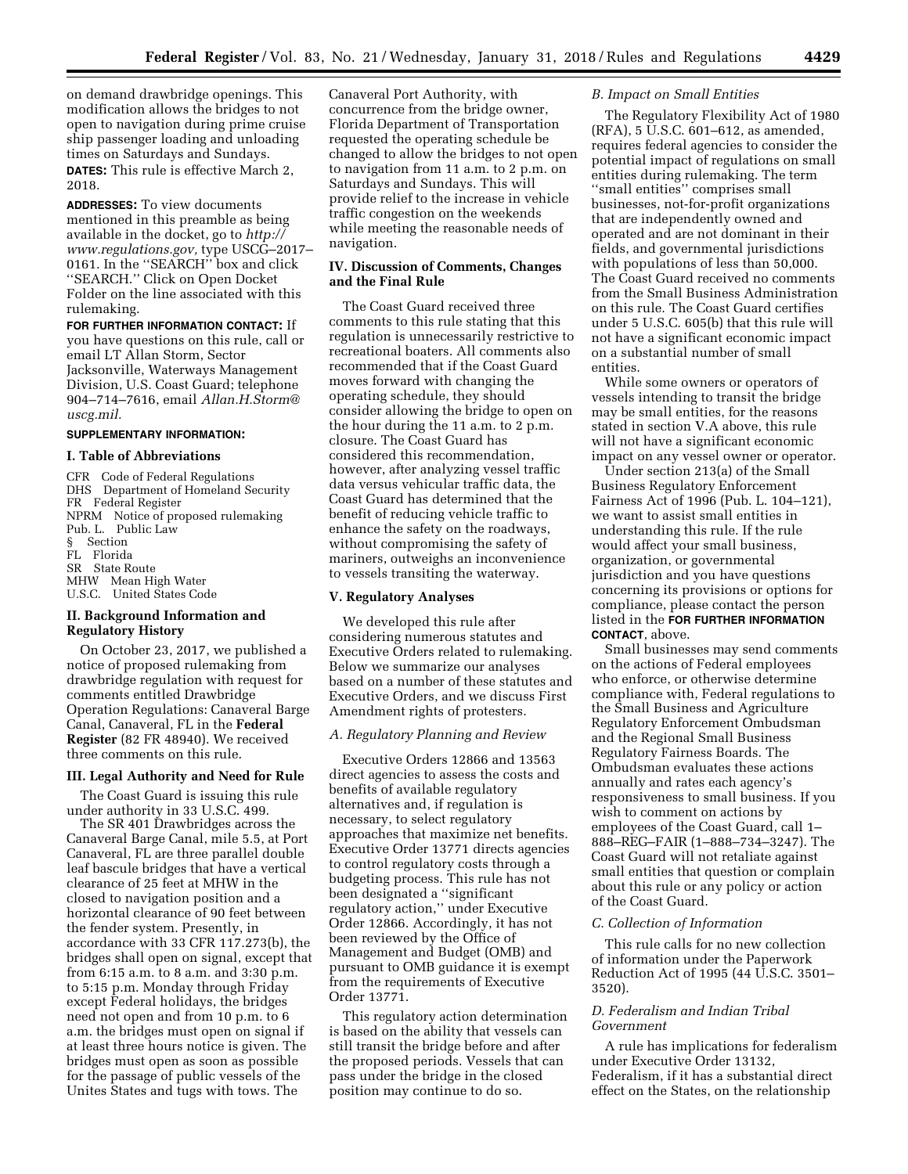on demand drawbridge openings. This modification allows the bridges to not open to navigation during prime cruise ship passenger loading and unloading times on Saturdays and Sundays. **DATES:** This rule is effective March 2, 2018.

**ADDRESSES:** To view documents mentioned in this preamble as being available in the docket, go to *[http://](http://www.regulations.gov) [www.regulations.gov,](http://www.regulations.gov)* type USCG–2017– 0161. In the ''SEARCH'' box and click ''SEARCH.'' Click on Open Docket Folder on the line associated with this rulemaking.

**FOR FURTHER INFORMATION CONTACT:** If you have questions on this rule, call or email LT Allan Storm, Sector Jacksonville, Waterways Management Division, U.S. Coast Guard; telephone 904–714–7616, email *[Allan.H.Storm@](mailto:Allan.H.Storm@uscg.mil) [uscg.mil.](mailto:Allan.H.Storm@uscg.mil)* 

#### **SUPPLEMENTARY INFORMATION:**

#### **I. Table of Abbreviations**

CFR Code of Federal Regulations DHS Department of Homeland Security FR Federal Register NPRM Notice of proposed rulemaking Pub. L. Public Law § Section FL Florida SR State Route MHW Mean High Water U.S.C. United States Code

### **II. Background Information and Regulatory History**

On October 23, 2017, we published a notice of proposed rulemaking from drawbridge regulation with request for comments entitled Drawbridge Operation Regulations: Canaveral Barge Canal, Canaveral, FL in the **Federal Register** (82 FR 48940). We received three comments on this rule.

# **III. Legal Authority and Need for Rule**

The Coast Guard is issuing this rule under authority in 33 U.S.C. 499.

The SR 401 Drawbridges across the Canaveral Barge Canal, mile 5.5, at Port Canaveral, FL are three parallel double leaf bascule bridges that have a vertical clearance of 25 feet at MHW in the closed to navigation position and a horizontal clearance of 90 feet between the fender system. Presently, in accordance with 33 CFR 117.273(b), the bridges shall open on signal, except that from 6:15 a.m. to 8 a.m. and 3:30 p.m. to 5:15 p.m. Monday through Friday except Federal holidays, the bridges need not open and from 10 p.m. to 6 a.m. the bridges must open on signal if at least three hours notice is given. The bridges must open as soon as possible for the passage of public vessels of the Unites States and tugs with tows. The

Canaveral Port Authority, with concurrence from the bridge owner, Florida Department of Transportation requested the operating schedule be changed to allow the bridges to not open to navigation from 11 a.m. to 2 p.m. on Saturdays and Sundays. This will provide relief to the increase in vehicle traffic congestion on the weekends while meeting the reasonable needs of navigation.

# **IV. Discussion of Comments, Changes and the Final Rule**

The Coast Guard received three comments to this rule stating that this regulation is unnecessarily restrictive to recreational boaters. All comments also recommended that if the Coast Guard moves forward with changing the operating schedule, they should consider allowing the bridge to open on the hour during the 11 a.m. to 2 p.m. closure. The Coast Guard has considered this recommendation, however, after analyzing vessel traffic data versus vehicular traffic data, the Coast Guard has determined that the benefit of reducing vehicle traffic to enhance the safety on the roadways, without compromising the safety of mariners, outweighs an inconvenience to vessels transiting the waterway.

#### **V. Regulatory Analyses**

We developed this rule after considering numerous statutes and Executive Orders related to rulemaking. Below we summarize our analyses based on a number of these statutes and Executive Orders, and we discuss First Amendment rights of protesters.

#### *A. Regulatory Planning and Review*

Executive Orders 12866 and 13563 direct agencies to assess the costs and benefits of available regulatory alternatives and, if regulation is necessary, to select regulatory approaches that maximize net benefits. Executive Order 13771 directs agencies to control regulatory costs through a budgeting process. This rule has not been designated a ''significant regulatory action,'' under Executive Order 12866. Accordingly, it has not been reviewed by the Office of Management and Budget (OMB) and pursuant to OMB guidance it is exempt from the requirements of Executive Order 13771.

This regulatory action determination is based on the ability that vessels can still transit the bridge before and after the proposed periods. Vessels that can pass under the bridge in the closed position may continue to do so.

#### *B. Impact on Small Entities*

The Regulatory Flexibility Act of 1980 (RFA), 5 U.S.C. 601–612, as amended, requires federal agencies to consider the potential impact of regulations on small entities during rulemaking. The term ''small entities'' comprises small businesses, not-for-profit organizations that are independently owned and operated and are not dominant in their fields, and governmental jurisdictions with populations of less than 50,000. The Coast Guard received no comments from the Small Business Administration on this rule. The Coast Guard certifies under 5 U.S.C. 605(b) that this rule will not have a significant economic impact on a substantial number of small entities.

While some owners or operators of vessels intending to transit the bridge may be small entities, for the reasons stated in section V.A above, this rule will not have a significant economic impact on any vessel owner or operator.

Under section 213(a) of the Small Business Regulatory Enforcement Fairness Act of 1996 (Pub. L. 104–121), we want to assist small entities in understanding this rule. If the rule would affect your small business, organization, or governmental jurisdiction and you have questions concerning its provisions or options for compliance, please contact the person listed in the **FOR FURTHER INFORMATION CONTACT**, above.

Small businesses may send comments on the actions of Federal employees who enforce, or otherwise determine compliance with, Federal regulations to the Small Business and Agriculture Regulatory Enforcement Ombudsman and the Regional Small Business Regulatory Fairness Boards. The Ombudsman evaluates these actions annually and rates each agency's responsiveness to small business. If you wish to comment on actions by employees of the Coast Guard, call 1– 888–REG–FAIR (1–888–734–3247). The Coast Guard will not retaliate against small entities that question or complain about this rule or any policy or action of the Coast Guard.

#### *C. Collection of Information*

This rule calls for no new collection of information under the Paperwork Reduction Act of 1995 (44 U.S.C. 3501– 3520).

# *D. Federalism and Indian Tribal Government*

A rule has implications for federalism under Executive Order 13132, Federalism, if it has a substantial direct effect on the States, on the relationship